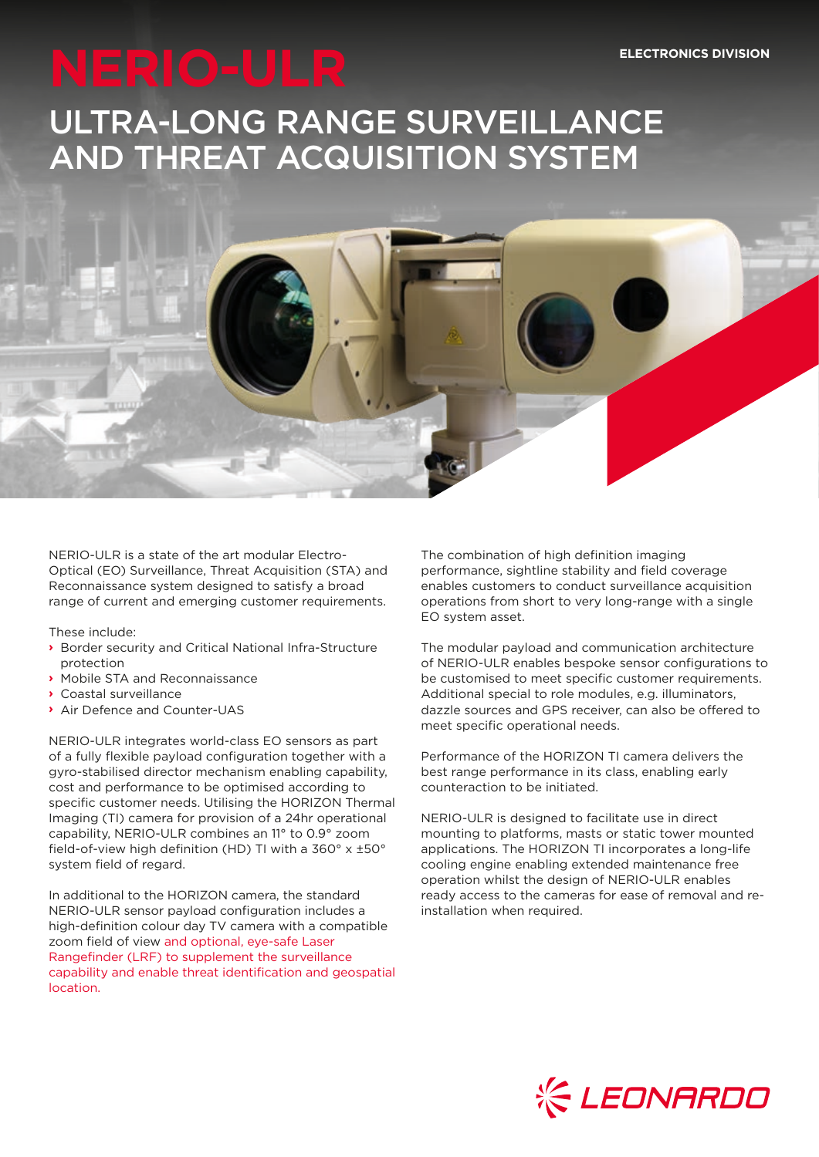# ULTRA-LONG RANGE SURVEILLANCE AND THREAT ACQUISITION SYSTEM



NERIO-ULR is a state of the art modular Electro-Optical (EO) Surveillance, Threat Acquisition (STA) and Reconnaissance system designed to satisfy a broad range of current and emerging customer requirements.

These include:

- **›** Border security and Critical National Infra-Structure protection
- **›** Mobile STA and Reconnaissance
- **›** Coastal surveillance
- **›** Air Defence and Counter-UAS

NERIO-ULR integrates world-class EO sensors as part of a fully flexible payload configuration together with a gyro-stabilised director mechanism enabling capability, cost and performance to be optimised according to specific customer needs. Utilising the HORIZON Thermal Imaging (TI) camera for provision of a 24hr operational capability, NERIO-ULR combines an 11° to 0.9° zoom field-of-view high definition (HD) TI with a 360° x ±50° system field of regard.

In additional to the HORIZON camera, the standard NERIO-ULR sensor payload configuration includes a high-definition colour day TV camera with a compatible zoom field of view and optional, eye-safe Laser Rangefinder (LRF) to supplement the surveillance capability and enable threat identification and geospatial location.

The combination of high definition imaging performance, sightline stability and field coverage enables customers to conduct surveillance acquisition operations from short to very long-range with a single EO system asset.

The modular payload and communication architecture of NERIO-ULR enables bespoke sensor configurations to be customised to meet specific customer requirements. Additional special to role modules, e.g. illuminators, dazzle sources and GPS receiver, can also be offered to meet specific operational needs.

Performance of the HORIZON TI camera delivers the best range performance in its class, enabling early counteraction to be initiated.

NERIO-ULR is designed to facilitate use in direct mounting to platforms, masts or static tower mounted applications. The HORIZON TI incorporates a long-life cooling engine enabling extended maintenance free operation whilst the design of NERIO-ULR enables ready access to the cameras for ease of removal and reinstallation when required.